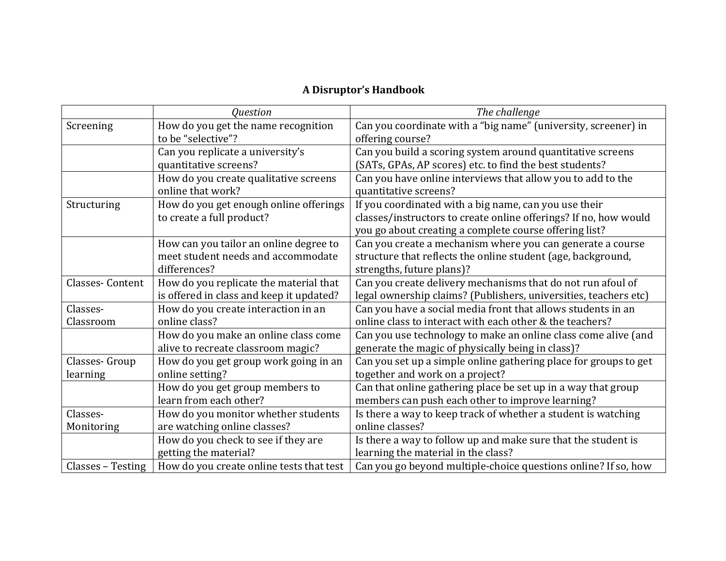## **A Disruptor's Handbook**

|                   | <b>Ouestion</b>                          | The challenge                                                    |
|-------------------|------------------------------------------|------------------------------------------------------------------|
| Screening         | How do you get the name recognition      | Can you coordinate with a "big name" (university, screener) in   |
|                   | to be "selective"?                       | offering course?                                                 |
|                   | Can you replicate a university's         | Can you build a scoring system around quantitative screens       |
|                   | quantitative screens?                    | (SATs, GPAs, AP scores) etc. to find the best students?          |
|                   | How do you create qualitative screens    | Can you have online interviews that allow you to add to the      |
|                   | online that work?                        | quantitative screens?                                            |
| Structuring       | How do you get enough online offerings   | If you coordinated with a big name, can you use their            |
|                   | to create a full product?                | classes/instructors to create online offerings? If no, how would |
|                   |                                          | you go about creating a complete course offering list?           |
|                   | How can you tailor an online degree to   | Can you create a mechanism where you can generate a course       |
|                   | meet student needs and accommodate       | structure that reflects the online student (age, background,     |
|                   | differences?                             | strengths, future plans)?                                        |
| Classes-Content   | How do you replicate the material that   | Can you create delivery mechanisms that do not run afoul of      |
|                   | is offered in class and keep it updated? | legal ownership claims? (Publishers, universities, teachers etc) |
| Classes-          | How do you create interaction in an      | Can you have a social media front that allows students in an     |
| Classroom         | online class?                            | online class to interact with each other & the teachers?         |
|                   | How do you make an online class come     | Can you use technology to make an online class come alive (and   |
|                   | alive to recreate classroom magic?       | generate the magic of physically being in class)?                |
| Classes-Group     | How do you get group work going in an    | Can you set up a simple online gathering place for groups to get |
| learning          | online setting?                          | together and work on a project?                                  |
|                   | How do you get group members to          | Can that online gathering place be set up in a way that group    |
|                   | learn from each other?                   | members can push each other to improve learning?                 |
| Classes-          | How do you monitor whether students      | Is there a way to keep track of whether a student is watching    |
| Monitoring        | are watching online classes?             | online classes?                                                  |
|                   | How do you check to see if they are      | Is there a way to follow up and make sure that the student is    |
|                   | getting the material?                    | learning the material in the class?                              |
| Classes – Testing | How do you create online tests that test | Can you go beyond multiple-choice questions online? If so, how   |